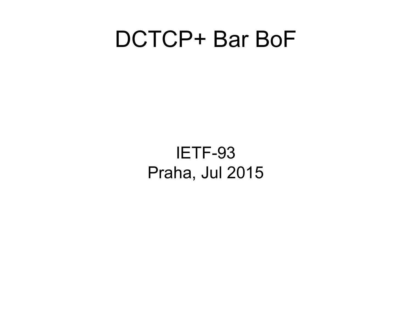#### DCTCP+ Bar BoF

IETF-93 Praha, Jul 2015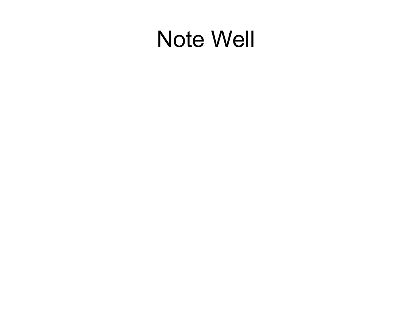### **Note Well**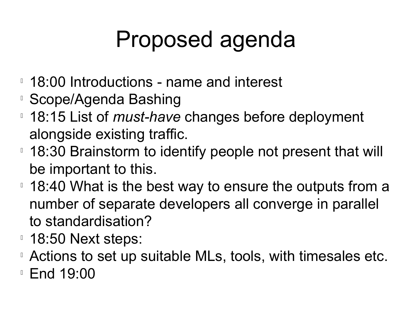# Proposed agenda

- **18:00 Introductions name and interest**
- Scope/Agenda Bashing
- 18:15 List of *must-have* changes before deployment alongside existing traffic.
- <sup>1</sup> 18:30 Brainstorm to identify people not present that will be important to this.
- <sup>1</sup> 18:40 What is the best way to ensure the outputs from a number of separate developers all converge in parallel to standardisation?
- **18:50 Next steps:**
- Actions to set up suitable MLs, tools, with timesales etc.
- **End 19:00**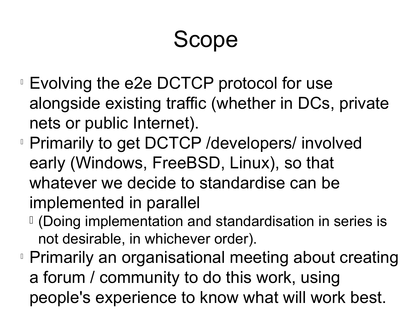# Scope

- Evolving the e2e DCTCP protocol for use alongside existing traffic (whether in DCs, private nets or public Internet).
- **Primarily to get DCTCP /developers/ involved** early (Windows, FreeBSD, Linux), so that whatever we decide to standardise can be implemented in parallel
	- (Doing implementation and standardisation in series is not desirable, in whichever order).
- **Primarily an organisational meeting about creating** a forum / community to do this work, using people's experience to know what will work best.